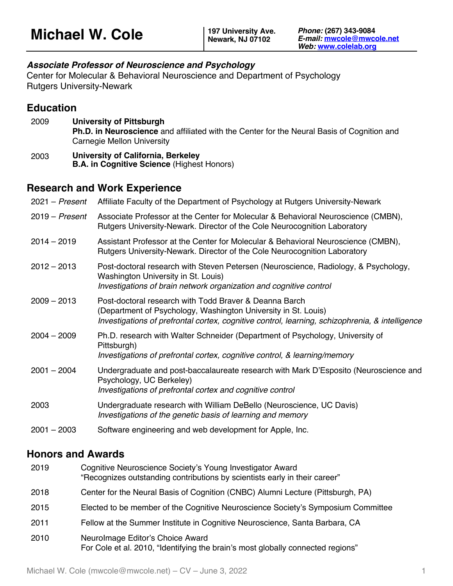### *Associate Professor of Neuroscience and Psychology*

Center for Molecular & Behavioral Neuroscience and Department of Psychology Rutgers University-Newark

## **Education**

- 2009 **University of Pittsburgh Ph.D. in Neuroscience** and affiliated with the Center for the Neural Basis of Cognition and Carnegie Mellon University
- 2003 **University of California, Berkeley B.A. in Cognitive Science** (Highest Honors)

## **Research and Work Experience**

| $2021 - Present$ | Affiliate Faculty of the Department of Psychology at Rutgers University-Newark                                                                                                                                              |
|------------------|-----------------------------------------------------------------------------------------------------------------------------------------------------------------------------------------------------------------------------|
| $2019 - Present$ | Associate Professor at the Center for Molecular & Behavioral Neuroscience (CMBN),<br>Rutgers University-Newark. Director of the Cole Neurocognition Laboratory                                                              |
| $2014 - 2019$    | Assistant Professor at the Center for Molecular & Behavioral Neuroscience (CMBN),<br>Rutgers University-Newark. Director of the Cole Neurocognition Laboratory                                                              |
| $2012 - 2013$    | Post-doctoral research with Steven Petersen (Neuroscience, Radiology, & Psychology,<br>Washington University in St. Louis)<br>Investigations of brain network organization and cognitive control                            |
| $2009 - 2013$    | Post-doctoral research with Todd Braver & Deanna Barch<br>(Department of Psychology, Washington University in St. Louis)<br>Investigations of prefrontal cortex, cognitive control, learning, schizophrenia, & intelligence |
| $2004 - 2009$    | Ph.D. research with Walter Schneider (Department of Psychology, University of<br>Pittsburgh)<br>Investigations of prefrontal cortex, cognitive control, & learning/memory                                                   |
| $2001 - 2004$    | Undergraduate and post-baccalaureate research with Mark D'Esposito (Neuroscience and<br>Psychology, UC Berkeley)<br>Investigations of prefrontal cortex and cognitive control                                               |
| 2003             | Undergraduate research with William DeBello (Neuroscience, UC Davis)<br>Investigations of the genetic basis of learning and memory                                                                                          |
| $2001 - 2003$    | Software engineering and web development for Apple, Inc.                                                                                                                                                                    |

# **Honors and Awards**

| 2019 | Cognitive Neuroscience Society's Young Investigator Award<br>"Recognizes outstanding contributions by scientists early in their career" |
|------|-----------------------------------------------------------------------------------------------------------------------------------------|
| 2018 | Center for the Neural Basis of Cognition (CNBC) Alumni Lecture (Pittsburgh, PA)                                                         |
| 2015 | Elected to be member of the Cognitive Neuroscience Society's Symposium Committee                                                        |
| 2011 | Fellow at the Summer Institute in Cognitive Neuroscience, Santa Barbara, CA                                                             |
| 2010 | Neurolmage Editor's Choice Award<br>For Cole et al. 2010, "Identifying the brain's most globally connected regions"                     |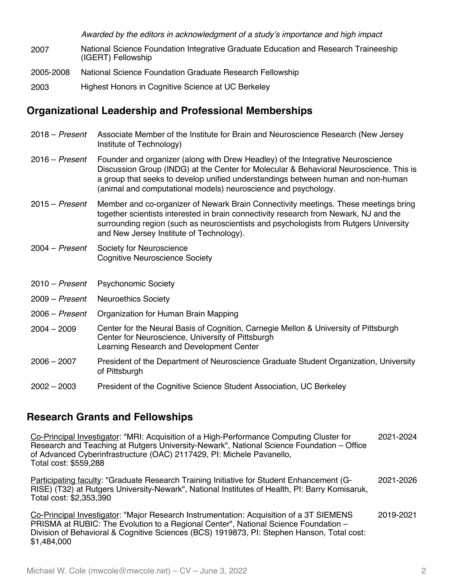*Awarded by the editors in acknowledgment of a study's importance and high impact*

- 2007 National Science Foundation Integrative Graduate Education and Research Traineeship (IGERT) Fellowship
- 2005-2008 National Science Foundation Graduate Research Fellowship
- 2003 Highest Honors in Cognitive Science at UC Berkeley

### **Organizational Leadership and Professional Memberships**

- 2018 *Present* Associate Member of the Institute for Brain and Neuroscience Research (New Jersey Institute of Technology) 2016 – *Present* Founder and organizer (along with Drew Headley) of the Integrative Neuroscience
- Discussion Group (INDG) at the Center for Molecular & Behavioral Neuroscience. This is a group that seeks to develop unified understandings between human and non-human (animal and computational models) neuroscience and psychology.
- 2015 *Present* Member and co-organizer of Newark Brain Connectivity meetings. These meetings bring together scientists interested in brain connectivity research from Newark, NJ and the surrounding region (such as neuroscientists and psychologists from Rutgers University and New Jersey Institute of Technology).
- 2004 *Present* Society for Neuroscience Cognitive Neuroscience Society
- 2010 *Present* Psychonomic Society
- 2009 *Present* Neuroethics Society
- 2006 *Present* Organization for Human Brain Mapping
- 2004 2009 Center for the Neural Basis of Cognition, Carnegie Mellon & University of Pittsburgh Center for Neuroscience, University of Pittsburgh Learning Research and Development Center
- 2006 2007 President of the Department of Neuroscience Graduate Student Organization, University of Pittsburgh
- 2002 2003 President of the Cognitive Science Student Association, UC Berkeley

## **Research Grants and Fellowships**

Co-Principal Investigator: "MRI: Acquisition of a High-Performance Computing Cluster for Research and Teaching at Rutgers University-Newark", National Science Foundation – Office of Advanced Cyberinfrastructure (OAC) 2117429, PI: Michele Pavanello, Total cost: \$559,288 2021-2024

Participating faculty: "Graduate Research Training Initiative for Student Enhancement (G-RISE) (T32) at Rutgers University-Newark", National Institutes of Health, PI: Barry Komisaruk, Total cost: \$2,353,390 2021-2026

Co-Principal Investigator: "Major Research Instrumentation: Acquisition of a 3T SIEMENS PRISMA at RUBIC: The Evolution to a Regional Center", National Science Foundation – Division of Behavioral & Cognitive Sciences (BCS) 1919873, PI: Stephen Hanson, Total cost: \$1,484,000 2019-2021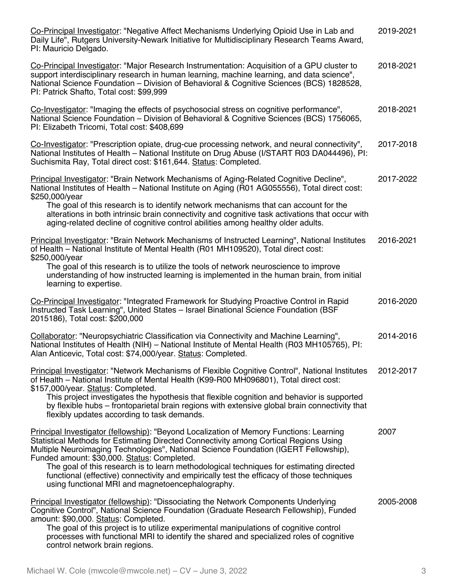| Co-Principal Investigator: "Negative Affect Mechanisms Underlying Opioid Use in Lab and<br>Daily Life", Rutgers University-Newark Initiative for Multidisciplinary Research Teams Award,<br>PI: Mauricio Delgado.                                                                                                                                                                                                                                                                                                                                                   | 2019-2021 |
|---------------------------------------------------------------------------------------------------------------------------------------------------------------------------------------------------------------------------------------------------------------------------------------------------------------------------------------------------------------------------------------------------------------------------------------------------------------------------------------------------------------------------------------------------------------------|-----------|
| Co-Principal Investigator: "Major Research Instrumentation: Acquisition of a GPU cluster to<br>support interdisciplinary research in human learning, machine learning, and data science",<br>National Science Foundation - Division of Behavioral & Cognitive Sciences (BCS) 1828528,<br>PI: Patrick Shafto, Total cost: \$99,999                                                                                                                                                                                                                                   | 2018-2021 |
| Co-Investigator: "Imaging the effects of psychosocial stress on cognitive performance",<br>National Science Foundation - Division of Behavioral & Cognitive Sciences (BCS) 1756065,<br>PI: Elizabeth Tricomi, Total cost: \$408,699                                                                                                                                                                                                                                                                                                                                 | 2018-2021 |
| Co-Investigator: "Prescription opiate, drug-cue processing network, and neural connectivity",<br>National Institutes of Health – National Institute on Drug Abuse (I/START R03 DA044496), PI:<br>Suchismita Ray, Total direct cost: \$161,644. Status: Completed.                                                                                                                                                                                                                                                                                                   | 2017-2018 |
| Principal Investigator: "Brain Network Mechanisms of Aging-Related Cognitive Decline",<br>National Institutes of Health - National Institute on Aging (R01 AG055556), Total direct cost:<br>\$250,000/year                                                                                                                                                                                                                                                                                                                                                          | 2017-2022 |
| The goal of this research is to identify network mechanisms that can account for the<br>alterations in both intrinsic brain connectivity and cognitive task activations that occur with<br>aging-related decline of cognitive control abilities among healthy older adults.                                                                                                                                                                                                                                                                                         |           |
| <b>Principal Investigator: "Brain Network Mechanisms of Instructed Learning", National Institutes</b><br>of Health – National Institute of Mental Health (R01 MH109520), Total direct cost:<br>\$250,000/year                                                                                                                                                                                                                                                                                                                                                       | 2016-2021 |
| The goal of this research is to utilize the tools of network neuroscience to improve<br>understanding of how instructed learning is implemented in the human brain, from initial<br>learning to expertise.                                                                                                                                                                                                                                                                                                                                                          |           |
| Co-Principal Investigator: "Integrated Framework for Studying Proactive Control in Rapid<br>Instructed Task Learning", United States - Israel Binational Science Foundation (BSF<br>2015186), Total cost: \$200,000                                                                                                                                                                                                                                                                                                                                                 | 2016-2020 |
| Collaborator: "Neuropsychiatric Classification via Connectivity and Machine Learning",<br>National Institutes of Health (NIH) - National Institute of Mental Health (R03 MH105765), PI:<br>Alan Anticevic, Total cost: \$74,000/year. Status: Completed.                                                                                                                                                                                                                                                                                                            | 2014-2016 |
| Principal Investigator: "Network Mechanisms of Flexible Cognitive Control", National Institutes<br>of Health - National Institute of Mental Health (K99-R00 MH096801), Total direct cost:<br>\$157,000/year. Status: Completed.<br>This project investigates the hypothesis that flexible cognition and behavior is supported<br>by flexible hubs – frontoparietal brain regions with extensive global brain connectivity that<br>flexibly updates according to task demands.                                                                                       | 2012-2017 |
| Principal Investigator (fellowship): "Beyond Localization of Memory Functions: Learning<br>Statistical Methods for Estimating Directed Connectivity among Cortical Regions Using<br>Multiple Neuroimaging Technologies", National Science Foundation (IGERT Fellowship),<br>Funded amount: \$30,000. Status: Completed.<br>The goal of this research is to learn methodological techniques for estimating directed<br>functional (effective) connectivity and empirically test the efficacy of those techniques<br>using functional MRI and magnetoencephalography. | 2007      |
| <b>Principal Investigator (fellowship): "Dissociating the Network Components Underlying</b><br>Cognitive Control", National Science Foundation (Graduate Research Fellowship), Funded<br>amount: \$90,000. Status: Completed.<br>The goal of this project is to utilize experimental manipulations of cognitive control<br>processes with functional MRI to identify the shared and specialized roles of cognitive<br>control network brain regions.                                                                                                                | 2005-2008 |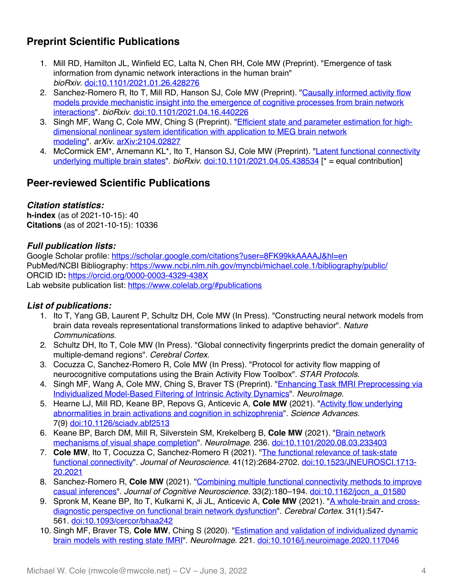# **Preprint Scientific Publications**

- 1. Mill RD, Hamilton JL, Winfield EC, Lalta N, Chen RH, Cole MW (Preprint). "Emergence of task information from dynamic network interactions in the human brain" *bioRxiv*. doi:10.1101/2021.01.26.428276
- 2. Sanchez-Romero R, Ito T, Mill RD, Hanson SJ, Cole MW (Preprint). "Causally informed activity flow models provide mechanistic insight into the emergence of cognitive processes from brain network interactions". *bioRxiv*. doi:10.1101/2021.04.16.440226
- 3. Singh MF, Wang C, Cole MW, Ching S (Preprint). "*Efficient state and parameter estimation for high*dimensional nonlinear system identification with application to MEG brain network modeling". *arXiv*. arXiv:2104.02827
- 4. McCormick EM\*, Arnemann KL\*, Ito T, Hanson SJ, Cole MW (Preprint). "Latent functional connectivity underlying multiple brain states". *bioRxiv*. doi:10.1101/2021.04.05.438534 [\* = equal contribution]

# **Peer-reviewed Scientific Publications**

### *Citation statistics:*

**h-index** (as of 2021-10-15): 40 **Citations** (as of 2021-10-15): 10336

### *Full publication lists:*

Google Scholar profile: https://scholar.google.com/citations?user=8FK99kkAAAAJ&hl=en PubMed/NCBI Bibliography: https://www.ncbi.nlm.nih.gov/myncbi/michael.cole.1/bibliography/public/ ORCID ID**:** https://orcid.org/0000-0003-4329-438X Lab website publication list: https://www.colelab.org/#publications

### *List of publications:*

- 1. Ito T, Yang GB, Laurent P, Schultz DH, Cole MW (In Press). "Constructing neural network models from brain data reveals representational transformations linked to adaptive behavior". *Nature Communications*.
- 2. Schultz DH, Ito T, Cole MW (In Press). "Global connectivity fingerprints predict the domain generality of multiple-demand regions". *Cerebral Cortex*.
- 3. Cocuzza C, Sanchez-Romero R, Cole MW (In Press). "Protocol for activity flow mapping of neurocognitive computations using the Brain Activity Flow Toolbox". *STAR Protocols*.
- 4. Singh MF, Wang A, Cole MW, Ching S, Braver TS (Preprint). "Enhancing Task fMRI Preprocessing via Individualized Model-Based Filtering of Intrinsic Activity Dynamics". *NeuroImage.*
- 5. Hearne LJ, Mill RD, Keane BP, Repovs G, Anticevic A, **Cole MW** (2021). "Activity flow underlying abnormalities in brain activations and cognition in schizophrenia". *Science Advances*. 7(9) doi:10.1126/sciadv.abf2513
- 6. Keane BP, Barch DM, Mill R, Silverstein SM, Krekelberg B, **Cole MW** (2021). "Brain network mechanisms of visual shape completion". *NeuroImage*. 236. doi:10.1101/2020.08.03.233403
- 7. **Cole MW**, Ito T, Cocuzza C, Sanchez-Romero R (2021). "The functional relevance of task-state functional connectivity". *Journal of Neuroscience*. 41(12):2684-2702. doi:10.1523/JNEUROSCI.1713- 20.2021
- 8. Sanchez-Romero R, **Cole MW** (2021). "Combining multiple functional connectivity methods to improve casual inferences". *Journal of Cognitive Neuroscience*. 33(2):180–194. doi:10.1162/jocn\_a\_01580
- 9. Spronk M, Keane BP, Ito T, Kulkarni K, Ji JL, Anticevic A, **Cole MW** (2021). "A whole-brain and crossdiagnostic perspective on functional brain network dysfunction". *Cerebral Cortex*. 31(1):547- 561. doi:10.1093/cercor/bhaa242
- 10. Singh MF, Braver TS, **Cole MW**, Ching S (2020). "Estimation and validation of individualized dynamic brain models with resting state fMRI". *NeuroImage*. 221. doi:10.1016/j.neuroimage.2020.117046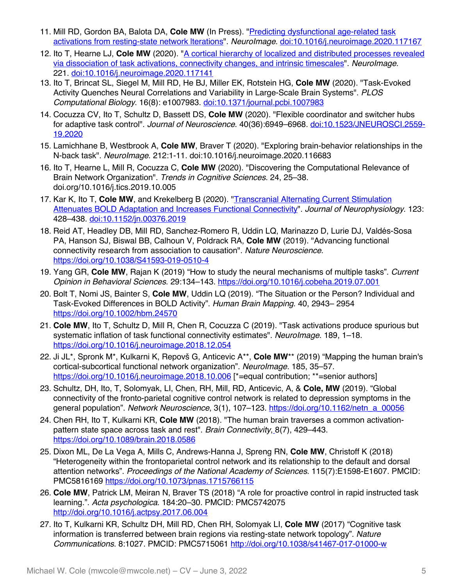- 11. Mill RD, Gordon BA, Balota DA, Cole MW (In Press). "Predicting dysfunctional age-related task activations from resting-state network lterations". *NeuroImage*. doi:10.1016/j.neuroimage.2020.117167
- 12. Ito T, Hearne LJ, Cole MW (2020). "A cortical hierarchy of localized and distributed processes revealed via dissociation of task activations, connectivity changes, and intrinsic timescales". *NeuroImage*. 221. doi:10.1016/j.neuroimage.2020.117141
- 13. Ito T, Brincat SL, Siegel M, Mill RD, He BJ, Miller EK, Rotstein HG, **Cole MW** (2020). "Task-Evoked Activity Quenches Neural Correlations and Variability in Large-Scale Brain Systems". *PLOS Computational Biology*. 16(8): e1007983. doi:10.1371/journal.pcbi.1007983
- 14. Cocuzza CV, Ito T, Schultz D, Bassett DS, **Cole MW** (2020). "Flexible coordinator and switcher hubs for adaptive task control". *Journal of Neuroscience*. 40(36):6949–6968. doi:10.1523/JNEUROSCI.2559- 19.2020
- 15. Lamichhane B, Westbrook A, **Cole MW**, Braver T (2020). "Exploring brain-behavior relationships in the N-back task". *NeuroImage*. 212:1-11. doi:10.1016/j.neuroimage.2020.116683
- 16. Ito T, Hearne L, Mill R, Cocuzza C, **Cole MW** (2020). "Discovering the Computational Relevance of Brain Network Organization". *Trends in Cognitive Sciences.* 24, 25–38. doi.org/10.1016/j.tics.2019.10.005
- 17. Kar K, Ito T, **Cole MW**, and Krekelberg B (2020). "Transcranial Alternating Current Stimulation Attenuates BOLD Adaptation and Increases Functional Connectivity". *Journal of Neurophysiology*. 123: 428–438. doi:10.1152/jn.00376.2019
- 18. Reid AT, Headley DB, Mill RD, Sanchez-Romero R, Uddin LQ, Marinazzo D, Lurie DJ, Valdés-Sosa PA, Hanson SJ, Biswal BB, Calhoun V, Poldrack RA, **Cole MW** (2019). "Advancing functional connectivity research from association to causation". *Nature Neuroscience*. https://doi.org/10.1038/S41593-019-0510-4
- 19. Yang GR, **Cole MW**, Rajan K (2019) "How to study the neural mechanisms of multiple tasks". *Current Opinion in Behavioral Sciences*. 29:134–143. https://doi.org/10.1016/j.cobeha.2019.07.001
- 20. Bolt T, Nomi JS, Bainter S, **Cole MW**, Uddin LQ (2019). "The Situation or the Person? Individual and Task-Evoked Differences in BOLD Activity". *Human Brain Mapping*. 40, 2943– 2954 https://doi.org/10.1002/hbm.24570
- 21. **Cole MW**, Ito T, Schultz D, Mill R, Chen R, Cocuzza C (2019). "Task activations produce spurious but systematic inflation of task functional connectivity estimates". *NeuroImage*. 189, 1–18. https://doi.org/10.1016/j.neuroimage.2018.12.054
- 22. Ji JL\*, Spronk M\*, Kulkarni K, Repovš G, Anticevic A\*\*, **Cole MW**\*\* (2019) "Mapping the human brain's cortical-subcortical functional network organization". *NeuroImage*. 185, 35–57. https://doi.org/10.1016/j.neuroimage.2018.10.006 [\*=equal contribution; \*\*=senior authors]
- 23. Schultz, DH, Ito, T, Solomyak, LI, Chen, RH, Mill, RD, Anticevic, A, & **Cole, MW** (2019). "Global connectivity of the fronto-parietal cognitive control network is related to depression symptoms in the general population". *Network Neuroscience*, 3(1), 107–123. https://doi.org/10.1162/netn\_a\_00056
- 24. Chen RH, Ito T, Kulkarni KR, **Cole MW** (2018). "The human brain traverses a common activationpattern state space across task and rest". *Brain Connectivity*, 8(7), 429–443. https://doi.org/10.1089/brain.2018.0586
- 25. Dixon ML, De La Vega A, Mills C, Andrews-Hanna J, Spreng RN, **Cole MW**, Christoff K (2018) "Heterogeneity within the frontoparietal control network and its relationship to the default and dorsal attention networks". *Proceedings of the National Academy of Sciences*. 115(7):E1598-E1607. PMCID: PMC5816169 https://doi.org/10.1073/pnas.1715766115
- 26. **Cole MW**, Patrick LM, Meiran N, Braver TS (2018) "A role for proactive control in rapid instructed task learning.". *Acta psychologica*. 184:20–30. PMCID: PMC5742075 http://doi.org/10.1016/j.actpsy.2017.06.004
- 27. Ito T, Kulkarni KR, Schultz DH, Mill RD, Chen RH, Solomyak LI, **Cole MW** (2017) "Cognitive task information is transferred between brain regions via resting-state network topology". *Nature Communications*. 8:1027. PMCID: PMC5715061 http://doi.org/10.1038/s41467-017-01000-w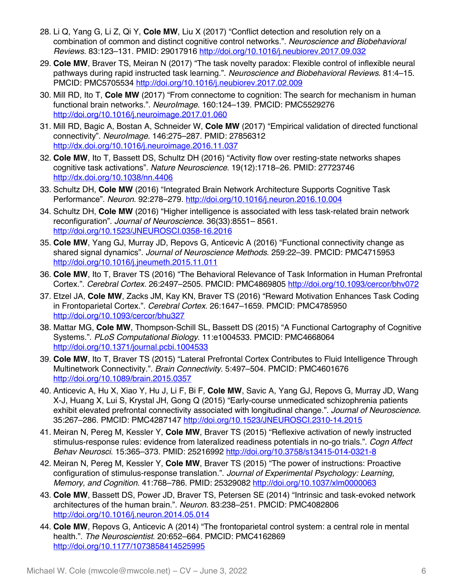- 28. Li Q, Yang G, Li Z, Qi Y, **Cole MW**, Liu X (2017) "Conflict detection and resolution rely on a combination of common and distinct cognitive control networks.". *Neuroscience and Biobehavioral Reviews*. 83:123–131. PMID: 29017916 http://doi.org/10.1016/j.neubiorev.2017.09.032
- 29. **Cole MW**, Braver TS, Meiran N (2017) "The task novelty paradox: Flexible control of inflexible neural pathways during rapid instructed task learning.". *Neuroscience and Biobehavioral Reviews*. 81:4–15. PMCID: PMC5705534 http://doi.org/10.1016/j.neubiorev.2017.02.009
- 30. Mill RD, Ito T, **Cole MW** (2017) "From connectome to cognition: The search for mechanism in human functional brain networks.". *NeuroImage*. 160:124–139. PMCID: PMC5529276 http://doi.org/10.1016/j.neuroimage.2017.01.060
- 31. Mill RD, Bagic A, Bostan A, Schneider W, **Cole MW** (2017) "Empirical validation of directed functional connectivity". *NeuroImage*. 146:275–287. PMID: 27856312 http://dx.doi.org/10.1016/j.neuroimage.2016.11.037
- 32. **Cole MW**, Ito T, Bassett DS, Schultz DH (2016) "Activity flow over resting-state networks shapes cognitive task activations". *Nature Neuroscience*. 19(12):1718–26. PMID: 27723746 http://dx.doi.org/10.1038/nn.4406
- 33. Schultz DH, **Cole MW** (2016) "Integrated Brain Network Architecture Supports Cognitive Task Performance". *Neuron*. 92:278–279. http://doi.org/10.1016/j.neuron.2016.10.004
- 34. Schultz DH, **Cole MW** (2016) "Higher intelligence is associated with less task-related brain network reconfiguration". *Journal of Neuroscience*. 36(33):8551– 8561. http://doi.org/10.1523/JNEUROSCI.0358-16.2016
- 35. **Cole MW**, Yang GJ, Murray JD, Repovs G, Anticevic A (2016) "Functional connectivity change as shared signal dynamics". *Journal of Neuroscience Methods*. 259:22–39. PMCID: PMC4715953 http://doi.org/10.1016/j.jneumeth.2015.11.011
- 36. **Cole MW**, Ito T, Braver TS (2016) "The Behavioral Relevance of Task Information in Human Prefrontal Cortex.". *Cerebral Cortex*. 26:2497–2505. PMCID: PMC4869805 http://doi.org/10.1093/cercor/bhv072
- 37. Etzel JA, **Cole MW**, Zacks JM, Kay KN, Braver TS (2016) "Reward Motivation Enhances Task Coding in Frontoparietal Cortex.". *Cerebral Cortex*. 26:1647–1659. PMCID: PMC4785950 http://doi.org/10.1093/cercor/bhu327
- 38. Mattar MG, **Cole MW**, Thompson-Schill SL, Bassett DS (2015) "A Functional Cartography of Cognitive Systems.". *PLoS Computational Biology*. 11:e1004533. PMCID: PMC4668064 http://doi.org/10.1371/journal.pcbi.1004533
- 39. **Cole MW**, Ito T, Braver TS (2015) "Lateral Prefrontal Cortex Contributes to Fluid Intelligence Through Multinetwork Connectivity.". *Brain Connectivity*. 5:497–504. PMCID: PMC4601676 http://doi.org/10.1089/brain.2015.0357
- 40. Anticevic A, Hu X, Xiao Y, Hu J, Li F, Bi F, **Cole MW**, Savic A, Yang GJ, Repovs G, Murray JD, Wang X-J, Huang X, Lui S, Krystal JH, Gong Q (2015) "Early-course unmedicated schizophrenia patients exhibit elevated prefrontal connectivity associated with longitudinal change.". *Journal of Neuroscience*. 35:267–286. PMCID: PMC4287147 http://doi.org/10.1523/JNEUROSCI.2310-14.2015
- 41. Meiran N, Pereg M, Kessler Y, **Cole MW**, Braver TS (2015) "Reflexive activation of newly instructed stimulus-response rules: evidence from lateralized readiness potentials in no-go trials.". *Cogn Affect Behav Neurosci*. 15:365–373. PMID: 25216992 http://doi.org/10.3758/s13415-014-0321-8
- 42. Meiran N, Pereg M, Kessler Y, **Cole MW**, Braver TS (2015) "The power of instructions: Proactive configuration of stimulus-response translation.". *Journal of Experimental Psychology: Learning, Memory, and Cognition*. 41:768–786. PMID: 25329082 http://doi.org/10.1037/xlm0000063
- 43. **Cole MW**, Bassett DS, Power JD, Braver TS, Petersen SE (2014) "Intrinsic and task-evoked network architectures of the human brain.". *Neuron*. 83:238–251. PMCID: PMC4082806 http://doi.org/10.1016/j.neuron.2014.05.014
- 44. **Cole MW**, Repovs G, Anticevic A (2014) "The frontoparietal control system: a central role in mental health.". *The Neuroscientist*. 20:652–664. PMCID: PMC4162869 http://doi.org/10.1177/1073858414525995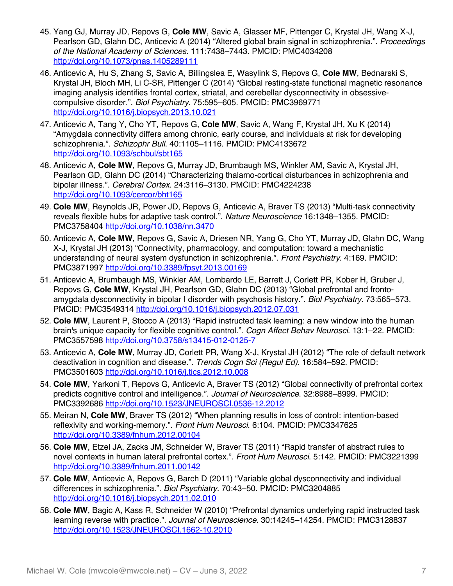- 45. Yang GJ, Murray JD, Repovs G, **Cole MW**, Savic A, Glasser MF, Pittenger C, Krystal JH, Wang X-J, Pearlson GD, Glahn DC, Anticevic A (2014) "Altered global brain signal in schizophrenia.". *Proceedings of the National Academy of Sciences*. 111:7438–7443. PMCID: PMC4034208 http://doi.org/10.1073/pnas.1405289111
- 46. Anticevic A, Hu S, Zhang S, Savic A, Billingslea E, Wasylink S, Repovs G, **Cole MW**, Bednarski S, Krystal JH, Bloch MH, Li C-SR, Pittenger C (2014) "Global resting-state functional magnetic resonance imaging analysis identifies frontal cortex, striatal, and cerebellar dysconnectivity in obsessivecompulsive disorder.". *Biol Psychiatry*. 75:595–605. PMCID: PMC3969771 http://doi.org/10.1016/j.biopsych.2013.10.021
- 47. Anticevic A, Tang Y, Cho YT, Repovs G, **Cole MW**, Savic A, Wang F, Krystal JH, Xu K (2014) "Amygdala connectivity differs among chronic, early course, and individuals at risk for developing schizophrenia.". *Schizophr Bull*. 40:1105–1116. PMCID: PMC4133672 http://doi.org/10.1093/schbul/sbt165
- 48. Anticevic A, **Cole MW**, Repovs G, Murray JD, Brumbaugh MS, Winkler AM, Savic A, Krystal JH, Pearlson GD, Glahn DC (2014) "Characterizing thalamo-cortical disturbances in schizophrenia and bipolar illness.". *Cerebral Cortex*. 24:3116–3130. PMCID: PMC4224238 http://doi.org/10.1093/cercor/bht165
- 49. **Cole MW**, Reynolds JR, Power JD, Repovs G, Anticevic A, Braver TS (2013) "Multi-task connectivity reveals flexible hubs for adaptive task control.". *Nature Neuroscience* 16:1348–1355. PMCID: PMC3758404 http://doi.org/10.1038/nn.3470
- 50. Anticevic A, **Cole MW**, Repovs G, Savic A, Driesen NR, Yang G, Cho YT, Murray JD, Glahn DC, Wang X-J, Krystal JH (2013) "Connectivity, pharmacology, and computation: toward a mechanistic understanding of neural system dysfunction in schizophrenia.". *Front Psychiatry*. 4:169. PMCID: PMC3871997 http://doi.org/10.3389/fpsyt.2013.00169
- 51. Anticevic A, Brumbaugh MS, Winkler AM, Lombardo LE, Barrett J, Corlett PR, Kober H, Gruber J, Repovs G, **Cole MW**, Krystal JH, Pearlson GD, Glahn DC (2013) "Global prefrontal and frontoamygdala dysconnectivity in bipolar I disorder with psychosis history.". *Biol Psychiatry*. 73:565–573. PMCID: PMC3549314 http://doi.org/10.1016/j.biopsych.2012.07.031
- 52. **Cole MW**, Laurent P, Stocco A (2013) "Rapid instructed task learning: a new window into the human brain's unique capacity for flexible cognitive control.". *Cogn Affect Behav Neurosci*. 13:1–22. PMCID: PMC3557598 http://doi.org/10.3758/s13415-012-0125-7
- 53. Anticevic A, **Cole MW**, Murray JD, Corlett PR, Wang X-J, Krystal JH (2012) "The role of default network deactivation in cognition and disease.". *Trends Cogn Sci (Regul Ed)*. 16:584–592. PMCID: PMC3501603 http://doi.org/10.1016/j.tics.2012.10.008
- 54. **Cole MW**, Yarkoni T, Repovs G, Anticevic A, Braver TS (2012) "Global connectivity of prefrontal cortex predicts cognitive control and intelligence.". *Journal of Neuroscience*. 32:8988–8999. PMCID: PMC3392686 http://doi.org/10.1523/JNEUROSCI.0536-12.2012
- 55. Meiran N, **Cole MW**, Braver TS (2012) "When planning results in loss of control: intention-based reflexivity and working-memory.". *Front Hum Neurosci*. 6:104. PMCID: PMC3347625 http://doi.org/10.3389/fnhum.2012.00104
- 56. **Cole MW**, Etzel JA, Zacks JM, Schneider W, Braver TS (2011) "Rapid transfer of abstract rules to novel contexts in human lateral prefrontal cortex.". *Front Hum Neurosci*. 5:142. PMCID: PMC3221399 http://doi.org/10.3389/fnhum.2011.00142
- 57. **Cole MW**, Anticevic A, Repovs G, Barch D (2011) "Variable global dysconnectivity and individual differences in schizophrenia.". *Biol Psychiatry*. 70:43–50. PMCID: PMC3204885 http://doi.org/10.1016/j.biopsych.2011.02.010
- 58. **Cole MW**, Bagic A, Kass R, Schneider W (2010) "Prefrontal dynamics underlying rapid instructed task learning reverse with practice.". *Journal of Neuroscience*. 30:14245–14254. PMCID: PMC3128837 http://doi.org/10.1523/JNEUROSCI.1662-10.2010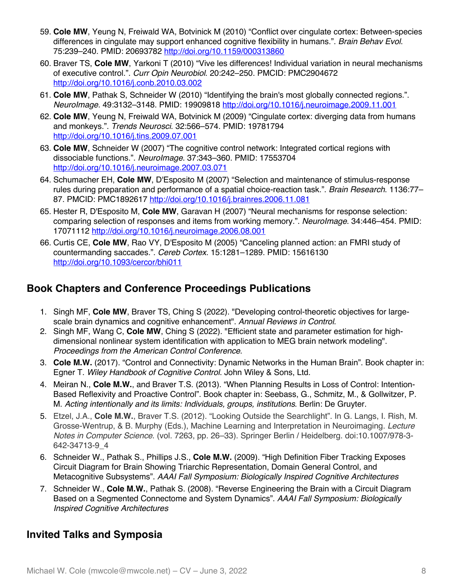- 59. **Cole MW**, Yeung N, Freiwald WA, Botvinick M (2010) "Conflict over cingulate cortex: Between-species differences in cingulate may support enhanced cognitive flexibility in humans.". *Brain Behav Evol*. 75:239–240. PMID: 20693782 http://doi.org/10.1159/000313860
- 60. Braver TS, **Cole MW**, Yarkoni T (2010) "Vive les differences! Individual variation in neural mechanisms of executive control.". *Curr Opin Neurobiol*. 20:242–250. PMCID: PMC2904672 http://doi.org/10.1016/j.conb.2010.03.002
- 61. **Cole MW**, Pathak S, Schneider W (2010) "Identifying the brain's most globally connected regions.". *NeuroImage*. 49:3132–3148. PMID: 19909818 http://doi.org/10.1016/j.neuroimage.2009.11.001
- 62. **Cole MW**, Yeung N, Freiwald WA, Botvinick M (2009) "Cingulate cortex: diverging data from humans and monkeys.". *Trends Neurosci*. 32:566–574. PMID: 19781794 http://doi.org/10.1016/j.tins.2009.07.001
- 63. **Cole MW**, Schneider W (2007) "The cognitive control network: Integrated cortical regions with dissociable functions.". *NeuroImage*. 37:343–360. PMID: 17553704 http://doi.org/10.1016/j.neuroimage.2007.03.071
- 64. Schumacher EH, **Cole MW**, D'Esposito M (2007) "Selection and maintenance of stimulus-response rules during preparation and performance of a spatial choice-reaction task.". *Brain Research*. 1136:77– 87. PMCID: PMC1892617 http://doi.org/10.1016/j.brainres.2006.11.081
- 65. Hester R, D'Esposito M, **Cole MW**, Garavan H (2007) "Neural mechanisms for response selection: comparing selection of responses and items from working memory.". *NeuroImage*. 34:446–454. PMID: 17071112 http://doi.org/10.1016/j.neuroimage.2006.08.001
- 66. Curtis CE, **Cole MW**, Rao VY, D'Esposito M (2005) "Canceling planned action: an FMRI study of countermanding saccades.". *Cereb Cortex*. 15:1281–1289. PMID: 15616130 http://doi.org/10.1093/cercor/bhi011

## **Book Chapters and Conference Proceedings Publications**

- 1. Singh MF, **Cole MW**, Braver TS, Ching S (2022). "Developing control-theoretic objectives for largescale brain dynamics and cognitive enhancement". *Annual Reviews in Control*.
- 2. Singh MF, Wang C, **Cole MW**, Ching S (2022). "Efficient state and parameter estimation for highdimensional nonlinear system identification with application to MEG brain network modeling". *Proceedings from the American Control Conference*.
- 3. **Cole M.W.** (2017). "Control and Connectivity: Dynamic Networks in the Human Brain". Book chapter in: Egner T. *Wiley Handbook of Cognitive Control*. John Wiley & Sons, Ltd.
- 4. Meiran N., **Cole M.W.**, and Braver T.S. (2013). "When Planning Results in Loss of Control: Intention-Based Reflexivity and Proactive Control". Book chapter in: Seebass, G., Schmitz, M., & Gollwitzer, P. M. *Acting intentionally and its limits: Individuals, groups, institutions*. Berlin: De Gruyter.
- 5. Etzel, J.A., **Cole M.W.**, Braver T.S. (2012). "Looking Outside the Searchlight". In G. Langs, I. Rish, M. Grosse-Wentrup, & B. Murphy (Eds.), Machine Learning and Interpretation in Neuroimaging. *Lecture Notes in Computer Science*. (vol. 7263, pp. 26–33). Springer Berlin / Heidelberg. doi:10.1007/978-3- 642-34713-9\_4
- 6. Schneider W., Pathak S., Phillips J.S., **Cole M.W.** (2009). "High Definition Fiber Tracking Exposes Circuit Diagram for Brain Showing Triarchic Representation, Domain General Control, and Metacognitive Subsystems". *AAAI Fall Symposium: Biologically Inspired Cognitive Architectures*
- 7. Schneider W., **Cole M.W.**, Pathak S. (2008). "Reverse Engineering the Brain with a Circuit Diagram Based on a Segmented Connectome and System Dynamics". *AAAI Fall Symposium: Biologically Inspired Cognitive Architectures*

# **Invited Talks and Symposia**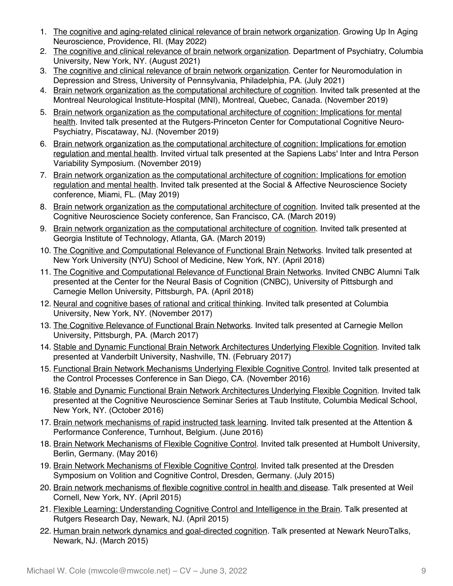- 1. The cognitive and aging-related clinical relevance of brain network organization. Growing Up In Aging Neuroscience, Providence, RI. (May 2022)
- 2. The cognitive and clinical relevance of brain network organization. Department of Psychiatry, Columbia University, New York, NY. (August 2021)
- 3. The cognitive and clinical relevance of brain network organization. Center for Neuromodulation in Depression and Stress, University of Pennsylvania, Philadelphia, PA. (July 2021)
- 4. Brain network organization as the computational architecture of cognition. Invited talk presented at the Montreal Neurological Institute-Hospital (MNI), Montreal, Quebec, Canada. (November 2019)
- 5. Brain network organization as the computational architecture of cognition: Implications for mental health. Invited talk presented at the Rutgers-Princeton Center for Computational Cognitive Neuro-Psychiatry, Piscataway, NJ. (November 2019)
- 6. Brain network organization as the computational architecture of cognition: Implications for emotion regulation and mental health. Invited virtual talk presented at the Sapiens Labs' Inter and Intra Person Variability Symposium. (November 2019)
- 7. Brain network organization as the computational architecture of cognition: Implications for emotion regulation and mental health. Invited talk presented at the Social & Affective Neuroscience Society conference, Miami, FL. (May 2019)
- 8. Brain network organization as the computational architecture of cognition. Invited talk presented at the Cognitive Neuroscience Society conference, San Francisco, CA. (March 2019)
- 9. Brain network organization as the computational architecture of cognition. Invited talk presented at Georgia Institute of Technology, Atlanta, GA. (March 2019)
- 10. The Cognitive and Computational Relevance of Functional Brain Networks. Invited talk presented at New York University (NYU) School of Medicine, New York, NY. (April 2018)
- 11. The Cognitive and Computational Relevance of Functional Brain Networks. Invited CNBC Alumni Talk presented at the Center for the Neural Basis of Cognition (CNBC), University of Pittsburgh and Carnegie Mellon University, Pittsburgh, PA. (April 2018)
- 12. Neural and cognitive bases of rational and critical thinking. Invited talk presented at Columbia University, New York, NY. (November 2017)
- 13. The Cognitive Relevance of Functional Brain Networks. Invited talk presented at Carnegie Mellon University, Pittsburgh, PA. (March 2017)
- 14. Stable and Dynamic Functional Brain Network Architectures Underlying Flexible Cognition. Invited talk presented at Vanderbilt University, Nashville, TN. (February 2017)
- 15. Functional Brain Network Mechanisms Underlying Flexible Cognitive Control. Invited talk presented at the Control Processes Conference in San Diego, CA. (November 2016)
- 16. Stable and Dynamic Functional Brain Network Architectures Underlying Flexible Cognition. Invited talk presented at the Cognitive Neuroscience Seminar Series at Taub Institute, Columbia Medical School, New York, NY. (October 2016)
- 17. Brain network mechanisms of rapid instructed task learning. Invited talk presented at the Attention & Performance Conference, Turnhout, Belgium. (June 2016)
- 18. Brain Network Mechanisms of Flexible Cognitive Control. Invited talk presented at Humbolt University, Berlin, Germany. (May 2016)
- 19. Brain Network Mechanisms of Flexible Cognitive Control. Invited talk presented at the Dresden Symposium on Volition and Cognitive Control, Dresden, Germany. (July 2015)
- 20. Brain network mechanisms of flexible cognitive control in health and disease. Talk presented at Weil Cornell, New York, NY. (April 2015)
- 21. Flexible Learning: Understanding Cognitive Control and Intelligence in the Brain*.* Talk presented at Rutgers Research Day, Newark, NJ. (April 2015)
- 22. Human brain network dynamics and goal-directed cognition*.* Talk presented at Newark NeuroTalks, Newark, NJ. (March 2015)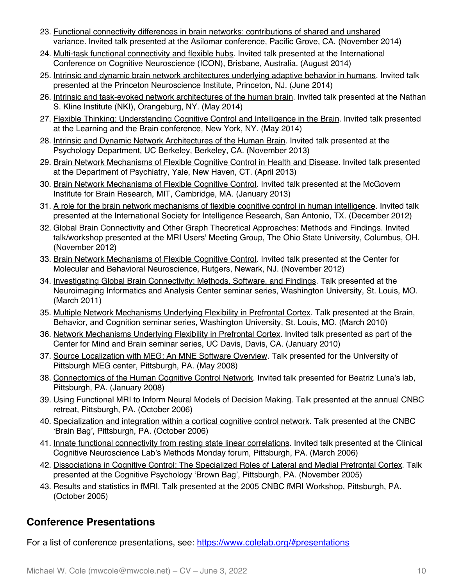- 23. Functional connectivity differences in brain networks: contributions of shared and unshared variance*.* Invited talk presented at the Asilomar conference, Pacific Grove, CA. (November 2014)
- 24. Multi-task functional connectivity and flexible hubs*.* Invited talk presented at the International Conference on Cognitive Neuroscience (ICON), Brisbane, Australia. (August 2014)
- 25. Intrinsic and dynamic brain network architectures underlying adaptive behavior in humans. Invited talk presented at the Princeton Neuroscience Institute, Princeton, NJ. (June 2014)
- 26. Intrinsic and task-evoked network architectures of the human brain. Invited talk presented at the Nathan S. Kline Institute (NKI), Orangeburg, NY. (May 2014)
- 27. Flexible Thinking: Understanding Cognitive Control and Intelligence in the Brain. Invited talk presented at the Learning and the Brain conference, New York, NY. (May 2014)
- 28. Intrinsic and Dynamic Network Architectures of the Human Brain. Invited talk presented at the Psychology Department, UC Berkeley, Berkeley, CA. (November 2013)
- 29. Brain Network Mechanisms of Flexible Cognitive Control in Health and Disease. Invited talk presented at the Department of Psychiatry, Yale, New Haven, CT. (April 2013)
- 30. Brain Network Mechanisms of Flexible Cognitive Control. Invited talk presented at the McGovern Institute for Brain Research, MIT, Cambridge, MA. (January 2013)
- 31. A role for the brain network mechanisms of flexible cognitive control in human intelligence. Invited talk presented at the International Society for Intelligence Research, San Antonio, TX. (December 2012)
- 32. Global Brain Connectivity and Other Graph Theoretical Approaches: Methods and Findings. Invited talk/workshop presented at the MRI Users' Meeting Group, The Ohio State University, Columbus, OH. (November 2012)
- 33. Brain Network Mechanisms of Flexible Cognitive Control. Invited talk presented at the Center for Molecular and Behavioral Neuroscience, Rutgers, Newark, NJ. (November 2012)
- 34. Investigating Global Brain Connectivity: Methods, Software, and Findings. Talk presented at the Neuroimaging Informatics and Analysis Center seminar series, Washington University, St. Louis, MO. (March 2011)
- 35. Multiple Network Mechanisms Underlying Flexibility in Prefrontal Cortex. Talk presented at the Brain, Behavior, and Cognition seminar series, Washington University, St. Louis, MO. (March 2010)
- 36. Network Mechanisms Underlying Flexibility in Prefrontal Cortex. Invited talk presented as part of the Center for Mind and Brain seminar series, UC Davis, Davis, CA. (January 2010)
- 37. Source Localization with MEG: An MNE Software Overview. Talk presented for the University of Pittsburgh MEG center, Pittsburgh, PA. (May 2008)
- 38. Connectomics of the Human Cognitive Control Network. Invited talk presented for Beatriz Luna's lab, Pittsburgh, PA. (January 2008)
- 39. Using Functional MRI to Inform Neural Models of Decision Making. Talk presented at the annual CNBC retreat, Pittsburgh, PA. (October 2006)
- 40. Specialization and integration within a cortical cognitive control network. Talk presented at the CNBC 'Brain Bag', Pittsburgh, PA. (October 2006)
- 41. Innate functional connectivity from resting state linear correlations. Invited talk presented at the Clinical Cognitive Neuroscience Lab's Methods Monday forum, Pittsburgh, PA. (March 2006)
- 42. Dissociations in Cognitive Control: The Specialized Roles of Lateral and Medial Prefrontal Cortex. Talk presented at the Cognitive Psychology 'Brown Bag', Pittsburgh, PA. (November 2005)
- 43. Results and statistics in fMRI. Talk presented at the 2005 CNBC fMRI Workshop, Pittsburgh, PA. (October 2005)

# **Conference Presentations**

For a list of conference presentations, see: https://www.colelab.org/#presentations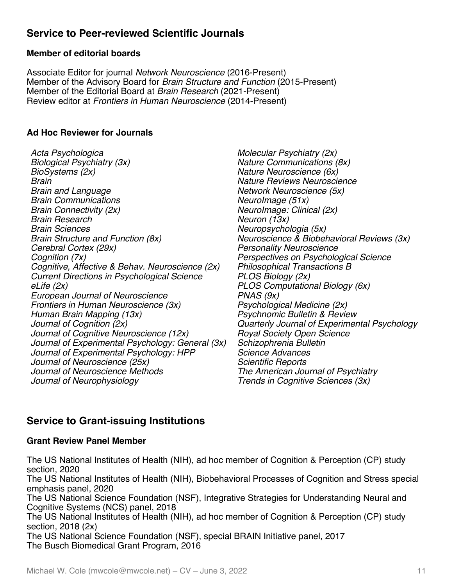## **Service to Peer-reviewed Scientific Journals**

### **Member of editorial boards**

Associate Editor for journal *Network Neuroscience* (2016-Present) Member of the Advisory Board for *Brain Structure and Function* (2015-Present) Member of the Editorial Board at *Brain Research* (2021-Present) Review editor at *Frontiers in Human Neuroscience* (2014-Present)

### **Ad Hoc Reviewer for Journals**

*Acta Psychologica Biological Psychiatry (3x) BioSystems (2x) Brain Brain and Language Brain Communications Brain Connectivity (2x) Brain Research Brain Sciences Brain Structure and Function (8x) Cerebral Cortex (29x) Cognition (7x) Cognitive, Affective & Behav. Neuroscience (2x) Current Directions in Psychological Science eLife (2x) European Journal of Neuroscience Frontiers in Human Neuroscience (3x) Human Brain Mapping (13x) Journal of Cognition (2x) Journal of Cognitive Neuroscience (12x) Journal of Experimental Psychology: General (3x) Journal of Experimental Psychology: HPP Journal of Neuroscience (25x) Journal of Neuroscience Methods Journal of Neurophysiology*

*Molecular Psychiatry (2x) Nature Communications (8x) Nature Neuroscience (6x) Nature Reviews Neuroscience Network Neuroscience (5x) NeuroImage (51x) NeuroImage: Clinical (2x) Neuron (13x) Neuropsychologia (5x) Neuroscience & Biobehavioral Reviews (3x) Personality Neuroscience Perspectives on Psychological Science Philosophical Transactions B PLOS Biology (2x) PLOS Computational Biology (6x) PNAS (9x) Psychological Medicine (2x) Psychnomic Bulletin & Review Quarterly Journal of Experimental Psychology Royal Society Open Science Schizophrenia Bulletin Science Advances Scientific Reports The American Journal of Psychiatry Trends in Cognitive Sciences (3x)*

## **Service to Grant-issuing Institutions**

#### **Grant Review Panel Member**

The US National Institutes of Health (NIH), ad hoc member of Cognition & Perception (CP) study section, 2020 The US National Institutes of Health (NIH), Biobehavioral Processes of Cognition and Stress special emphasis panel, 2020 The US National Science Foundation (NSF), Integrative Strategies for Understanding Neural and Cognitive Systems (NCS) panel, 2018 The US National Institutes of Health (NIH), ad hoc member of Cognition & Perception (CP) study section, 2018 (2x) The US National Science Foundation (NSF), special BRAIN Initiative panel, 2017 The Busch Biomedical Grant Program, 2016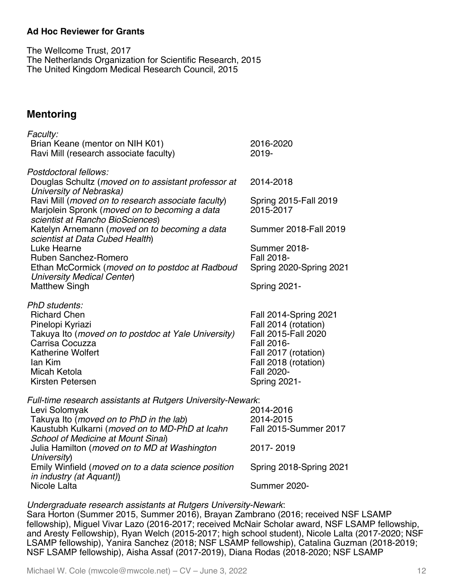#### **Ad Hoc Reviewer for Grants**

The Wellcome Trust, 2017 The Netherlands Organization for Scientific Research, 2015 The United Kingdom Medical Research Council, 2015

### **Mentoring**

| Faculty:                                                                                                                                |                                             |
|-----------------------------------------------------------------------------------------------------------------------------------------|---------------------------------------------|
| Brian Keane (mentor on NIH K01)<br>Ravi Mill (research associate faculty)                                                               | 2016-2020<br>2019-                          |
| Postdoctoral fellows:                                                                                                                   |                                             |
| Douglas Schultz (moved on to assistant professor at<br>University of Nebraska)                                                          | 2014-2018                                   |
| Ravi Mill (moved on to research associate faculty)<br>Marjolein Spronk (moved on to becoming a data<br>scientist at Rancho BioSciences) | Spring 2015-Fall 2019<br>2015-2017          |
| Katelyn Arnemann (moved on to becoming a data<br>scientist at Data Cubed Health)                                                        | <b>Summer 2018-Fall 2019</b>                |
| Luke Hearne                                                                                                                             | Summer 2018-                                |
| Ruben Sanchez-Romero                                                                                                                    | Fall 2018-                                  |
| Ethan McCormick (moved on to postdoc at Radboud<br><b>University Medical Center)</b>                                                    | Spring 2020-Spring 2021                     |
| <b>Matthew Singh</b>                                                                                                                    | Spring 2021-                                |
| PhD students:                                                                                                                           |                                             |
| <b>Richard Chen</b>                                                                                                                     | <b>Fall 2014-Spring 2021</b>                |
| Pinelopi Kyriazi<br>Takuya Ito (moved on to postdoc at Yale University)                                                                 | Fall 2014 (rotation)<br>Fall 2015-Fall 2020 |
| Carrisa Cocuzza                                                                                                                         | Fall 2016-                                  |
| <b>Katherine Wolfert</b>                                                                                                                | Fall 2017 (rotation)                        |
| lan Kim                                                                                                                                 | Fall 2018 (rotation)                        |
| Micah Ketola                                                                                                                            | Fall 2020-                                  |
| Kirsten Petersen                                                                                                                        | Spring 2021-                                |
| Full-time research assistants at Rutgers University-Newark:                                                                             |                                             |
| Levi Solomyak                                                                                                                           | 2014-2016                                   |
| Takuya Ito (moved on to PhD in the lab)                                                                                                 | 2014-2015                                   |
| Kaustubh Kulkarni (moved on to MD-PhD at Icahn                                                                                          | Fall 2015-Summer 2017                       |
| School of Medicine at Mount Sinai)<br>Julia Hamilton (moved on to MD at Washington                                                      | 2017-2019                                   |
| University)                                                                                                                             |                                             |
| Emily Winfield (moved on to a data science position                                                                                     | Spring 2018-Spring 2021                     |
| in industry (at Aquant))                                                                                                                |                                             |
| Nicole Lalta                                                                                                                            | <b>Summer 2020-</b>                         |

#### *Undergraduate research assistants at Rutgers University-Newark*:

Sara Horton (Summer 2015, Summer 2016), Brayan Zambrano (2016; received NSF LSAMP fellowship), Miguel Vivar Lazo (2016-2017; received McNair Scholar award, NSF LSAMP fellowship, and Aresty Fellowship), Ryan Welch (2015-2017; high school student), Nicole Lalta (2017-2020; NSF LSAMP fellowship), Yanira Sanchez (2018; NSF LSAMP fellowship), Catalina Guzman (2018-2019; NSF LSAMP fellowship), Aisha Assaf (2017-2019), Diana Rodas (2018-2020; NSF LSAMP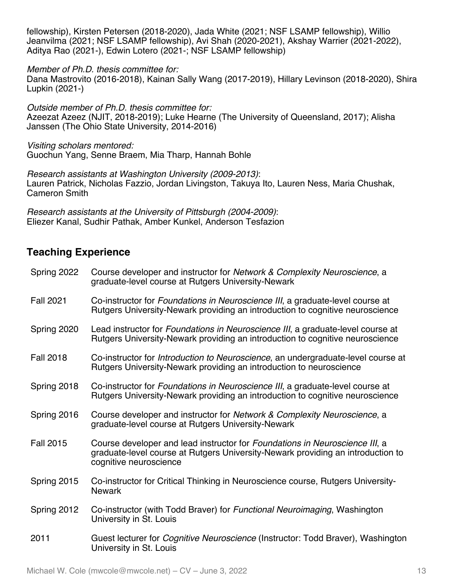fellowship), Kirsten Petersen (2018-2020), Jada White (2021; NSF LSAMP fellowship), Willio Jeanvilma (2021; NSF LSAMP fellowship), Avi Shah (2020-2021), Akshay Warrier (2021-2022), Aditya Rao (2021-), Edwin Lotero (2021-; NSF LSAMP fellowship)

*Member of Ph.D. thesis committee for:*

Dana Mastrovito (2016-2018), Kainan Sally Wang (2017-2019), Hillary Levinson (2018-2020), Shira Lupkin (2021-)

*Outside member of Ph.D. thesis committee for:* Azeezat Azeez (NJIT, 2018-2019); Luke Hearne (The University of Queensland, 2017); Alisha Janssen (The Ohio State University, 2014-2016)

*Visiting scholars mentored:* Guochun Yang, Senne Braem, Mia Tharp, Hannah Bohle

*Research assistants at Washington University (2009-2013)*: Lauren Patrick, Nicholas Fazzio, Jordan Livingston, Takuya Ito, Lauren Ness, Maria Chushak, Cameron Smith

*Research assistants at the University of Pittsburgh (2004-2009)*: Eliezer Kanal, Sudhir Pathak, Amber Kunkel, Anderson Tesfazion

## **Teaching Experience**

| Spring 2022      | Course developer and instructor for Network & Complexity Neuroscience, a<br>graduate-level course at Rutgers University-Newark                                                           |
|------------------|------------------------------------------------------------------------------------------------------------------------------------------------------------------------------------------|
| <b>Fall 2021</b> | Co-instructor for Foundations in Neuroscience III, a graduate-level course at<br>Rutgers University-Newark providing an introduction to cognitive neuroscience                           |
| Spring 2020      | Lead instructor for Foundations in Neuroscience III, a graduate-level course at<br>Rutgers University-Newark providing an introduction to cognitive neuroscience                         |
| <b>Fall 2018</b> | Co-instructor for Introduction to Neuroscience, an undergraduate-level course at<br>Rutgers University-Newark providing an introduction to neuroscience                                  |
| Spring 2018      | Co-instructor for Foundations in Neuroscience III, a graduate-level course at<br>Rutgers University-Newark providing an introduction to cognitive neuroscience                           |
| Spring 2016      | Course developer and instructor for Network & Complexity Neuroscience, a<br>graduate-level course at Rutgers University-Newark                                                           |
| <b>Fall 2015</b> | Course developer and lead instructor for Foundations in Neuroscience III, a<br>graduate-level course at Rutgers University-Newark providing an introduction to<br>cognitive neuroscience |
| Spring 2015      | Co-instructor for Critical Thinking in Neuroscience course, Rutgers University-<br><b>Newark</b>                                                                                         |
| Spring 2012      | Co-instructor (with Todd Braver) for Functional Neuroimaging, Washington<br>University in St. Louis                                                                                      |
| 2011             | Guest lecturer for <i>Cognitive Neuroscience</i> (Instructor: Todd Braver), Washington<br>University in St. Louis                                                                        |